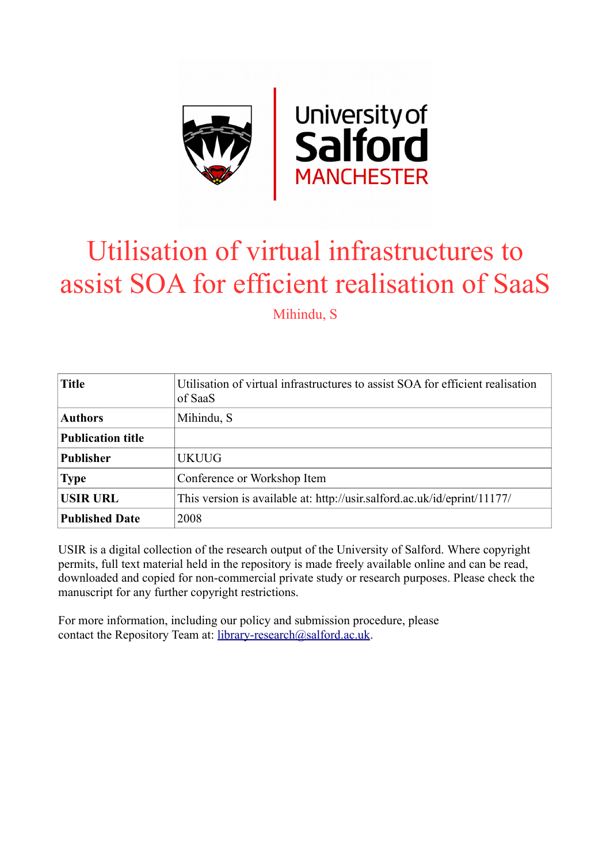

# Utilisation of virtual infrastructures to assist SOA for efficient realisation of SaaS

Mihindu, S

| <b>Title</b>             | Utilisation of virtual infrastructures to assist SOA for efficient realisation<br>of SaaS |
|--------------------------|-------------------------------------------------------------------------------------------|
| <b>Authors</b>           | Mihindu, S                                                                                |
| <b>Publication title</b> |                                                                                           |
| <b>Publisher</b>         | <b>UKUUG</b>                                                                              |
| <b>Type</b>              | Conference or Workshop Item                                                               |
| <b>USIR URL</b>          | This version is available at: http://usir.salford.ac.uk/id/eprint/11177/                  |
| <b>Published Date</b>    | 2008                                                                                      |

USIR is a digital collection of the research output of the University of Salford. Where copyright permits, full text material held in the repository is made freely available online and can be read, downloaded and copied for non-commercial private study or research purposes. Please check the manuscript for any further copyright restrictions.

For more information, including our policy and submission procedure, please contact the Repository Team at: [library-research@salford.ac.uk.](mailto:library-research@salford.ac.uk)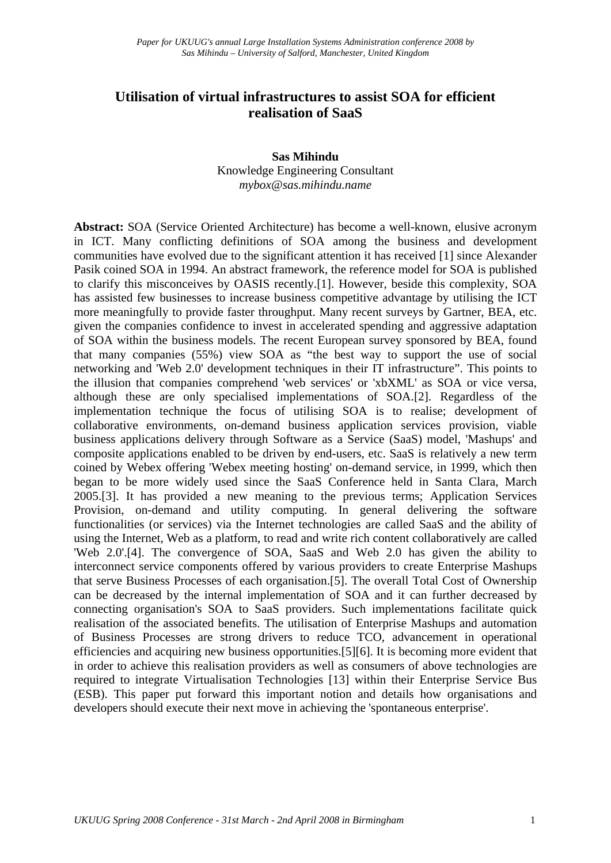# **Utilisation of virtual infrastructures to assist SOA for efficient realisation of SaaS**

#### **Sas Mihindu**  Knowledge Engineering Consultant *mybox@sas.mihindu.name*

**Abstract:** SOA (Service Oriented Architecture) has become a well-known, elusive acronym in ICT. Many conflicting definitions of SOA among the business and development communities have evolved due to the significant attention it has received [1] since Alexander Pasik coined SOA in 1994. An abstract framework, the reference model for SOA is published to clarify this misconceives by OASIS recently.[1]. However, beside this complexity, SOA has assisted few businesses to increase business competitive advantage by utilising the ICT more meaningfully to provide faster throughput. Many recent surveys by Gartner, BEA, etc. given the companies confidence to invest in accelerated spending and aggressive adaptation of SOA within the business models. The recent European survey sponsored by BEA, found that many companies (55%) view SOA as "the best way to support the use of social networking and 'Web 2.0' development techniques in their IT infrastructure". This points to the illusion that companies comprehend 'web services' or 'xbXML' as SOA or vice versa, although these are only specialised implementations of SOA.[2]. Regardless of the implementation technique the focus of utilising SOA is to realise; development of collaborative environments, on-demand business application services provision, viable business applications delivery through Software as a Service (SaaS) model, 'Mashups' and composite applications enabled to be driven by end-users, etc. SaaS is relatively a new term coined by Webex offering 'Webex meeting hosting' on-demand service, in 1999, which then began to be more widely used since the SaaS Conference held in Santa Clara, March 2005.[3]. It has provided a new meaning to the previous terms; Application Services Provision, on-demand and utility computing. In general delivering the software functionalities (or services) via the Internet technologies are called SaaS and the ability of using the Internet, Web as a platform, to read and write rich content collaboratively are called 'Web 2.0'.[4]. The convergence of SOA, SaaS and Web 2.0 has given the ability to interconnect service components offered by various providers to create Enterprise Mashups that serve Business Processes of each organisation.[5]. The overall Total Cost of Ownership can be decreased by the internal implementation of SOA and it can further decreased by connecting organisation's SOA to SaaS providers. Such implementations facilitate quick realisation of the associated benefits. The utilisation of Enterprise Mashups and automation of Business Processes are strong drivers to reduce TCO, advancement in operational efficiencies and acquiring new business opportunities.[5][6]. It is becoming more evident that in order to achieve this realisation providers as well as consumers of above technologies are required to integrate Virtualisation Technologies [13] within their Enterprise Service Bus (ESB). This paper put forward this important notion and details how organisations and developers should execute their next move in achieving the 'spontaneous enterprise'.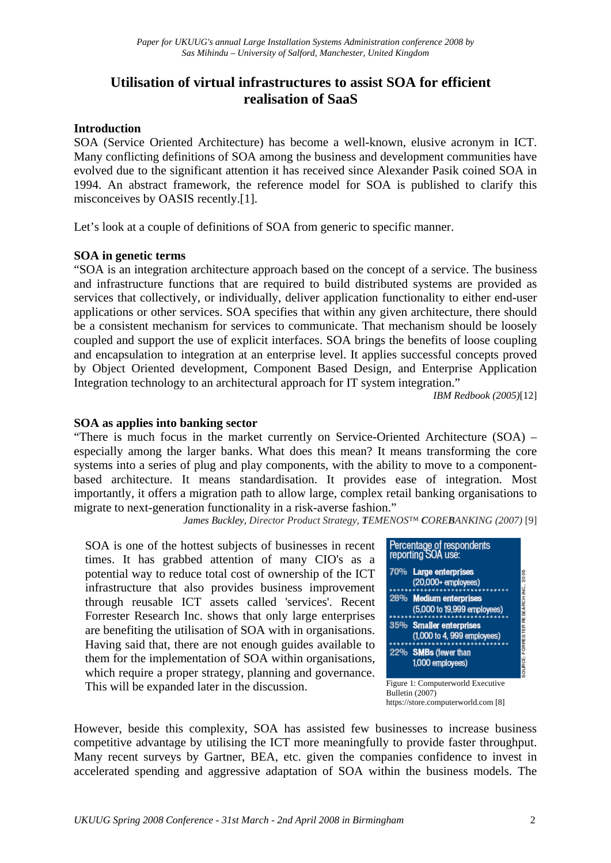# **Utilisation of virtual infrastructures to assist SOA for efficient realisation of SaaS**

# **Introduction**

SOA (Service Oriented Architecture) has become a well-known, elusive acronym in ICT. Many conflicting definitions of SOA among the business and development communities have evolved due to the significant attention it has received since Alexander Pasik coined SOA in 1994. An abstract framework, the reference model for SOA is published to clarify this misconceives by OASIS recently.[1].

Let's look at a couple of definitions of SOA from generic to specific manner.

# **SOA in genetic terms**

"SOA is an integration architecture approach based on the concept of a service. The business and infrastructure functions that are required to build distributed systems are provided as services that collectively, or individually, deliver application functionality to either end-user applications or other services. SOA specifies that within any given architecture, there should be a consistent mechanism for services to communicate. That mechanism should be loosely coupled and support the use of explicit interfaces. SOA brings the benefits of loose coupling and encapsulation to integration at an enterprise level. It applies successful concepts proved by Object Oriented development, Component Based Design, and Enterprise Application Integration technology to an architectural approach for IT system integration."

*IBM Redbook (2005)*[12]

# **SOA as applies into banking sector**

"There is much focus in the market currently on Service-Oriented Architecture (SOA) – especially among the larger banks. What does this mean? It means transforming the core systems into a series of plug and play components, with the ability to move to a componentbased architecture. It means standardisation. It provides ease of integration. Most importantly, it offers a migration path to allow large, complex retail banking organisations to migrate to next-generation functionality in a risk-averse fashion."

*James Buckley, Director Product Strategy, TEMENOS™ COREBANKING (2007)* [9]

SOA is one of the hottest subjects of businesses in recent times. It has grabbed attention of many CIO's as a potential way to reduce total cost of ownership of the ICT infrastructure that also provides business improvement through reusable ICT assets called 'services'. Recent Forrester Research Inc. shows that only large enterprises are benefiting the utilisation of SOA with in organisations. Having said that, there are not enough guides available to them for the implementation of SOA within organisations, which require a proper strategy, planning and governance. This will be expanded later in the discussion.

| Percentage of respondents<br>reporting SOA use:        |
|--------------------------------------------------------|
| 70% Large enterprises<br>$(20,000+$ employees)         |
| 28% Medium enterprises<br>(5,000 to 19,999 employees)  |
| 35% Smaller enterprises<br>(1,000 to 4, 999 employees) |
| 22% SMBs (fewer than<br>1,000 employees)               |
| Figure 1: Computerworld Executive<br>Bulletin (2007)   |

Bulletin (2007) https://store.computerworld.com [8]

However, beside this complexity, SOA has assisted few businesses to increase business competitive advantage by utilising the ICT more meaningfully to provide faster throughput. Many recent surveys by Gartner, BEA, etc. given the companies confidence to invest in accelerated spending and aggressive adaptation of SOA within the business models. The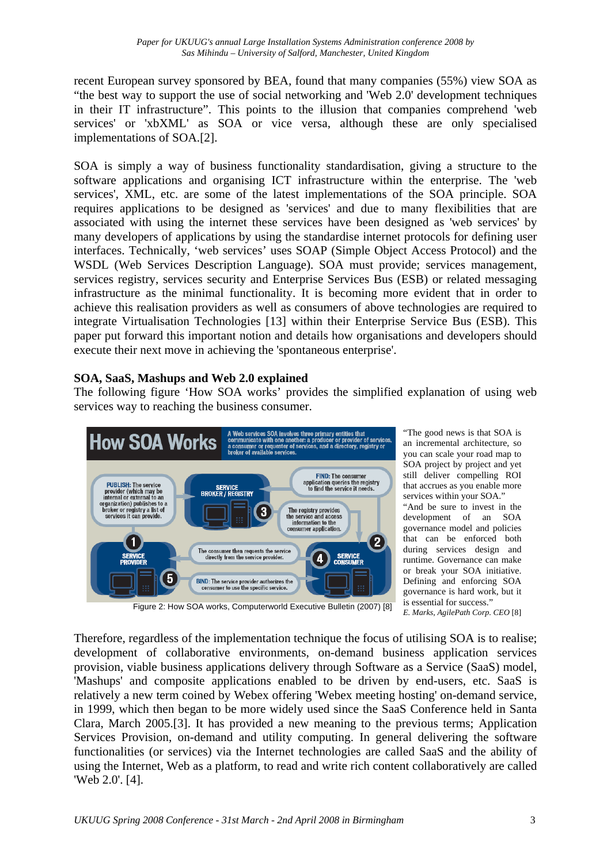recent European survey sponsored by BEA, found that many companies (55%) view SOA as "the best way to support the use of social networking and 'Web 2.0' development techniques in their IT infrastructure". This points to the illusion that companies comprehend 'web services' or 'xbXML' as SOA or vice versa, although these are only specialised implementations of SOA.[2].

SOA is simply a way of business functionality standardisation, giving a structure to the software applications and organising ICT infrastructure within the enterprise. The 'web services', XML, etc. are some of the latest implementations of the SOA principle. SOA requires applications to be designed as 'services' and due to many flexibilities that are associated with using the internet these services have been designed as 'web services' by many developers of applications by using the standardise internet protocols for defining user interfaces. Technically, 'web services' uses SOAP (Simple Object Access Protocol) and the WSDL (Web Services Description Language). SOA must provide; services management, services registry, services security and Enterprise Services Bus (ESB) or related messaging infrastructure as the minimal functionality. It is becoming more evident that in order to achieve this realisation providers as well as consumers of above technologies are required to integrate Virtualisation Technologies [13] within their Enterprise Service Bus (ESB). This paper put forward this important notion and details how organisations and developers should execute their next move in achieving the 'spontaneous enterprise'.

# **SOA, SaaS, Mashups and Web 2.0 explained**

The following figure 'How SOA works' provides the simplified explanation of using web services way to reaching the business consumer.



"The good news is that SOA is an incremental architecture, so you can scale your road map to SOA project by project and yet still deliver compelling ROI that accrues as you enable more services within your SOA." "And be sure to invest in the development of an SOA governance model and policies that can be enforced both during services design and runtime. Governance can make or break your SOA initiative. Defining and enforcing SOA governance is hard work, but it is essential for success." *E. Marks, AgilePath Corp. CEO* [8]

Figure 2: How SOA works, Computerworld Executive Bulletin (2007) [8]

Therefore, regardless of the implementation technique the focus of utilising SOA is to realise; development of collaborative environments, on-demand business application services provision, viable business applications delivery through Software as a Service (SaaS) model, 'Mashups' and composite applications enabled to be driven by end-users, etc. SaaS is relatively a new term coined by Webex offering 'Webex meeting hosting' on-demand service, in 1999, which then began to be more widely used since the SaaS Conference held in Santa Clara, March 2005.[3]. It has provided a new meaning to the previous terms; Application Services Provision, on-demand and utility computing. In general delivering the software functionalities (or services) via the Internet technologies are called SaaS and the ability of using the Internet, Web as a platform, to read and write rich content collaboratively are called 'Web 2.0'. [4].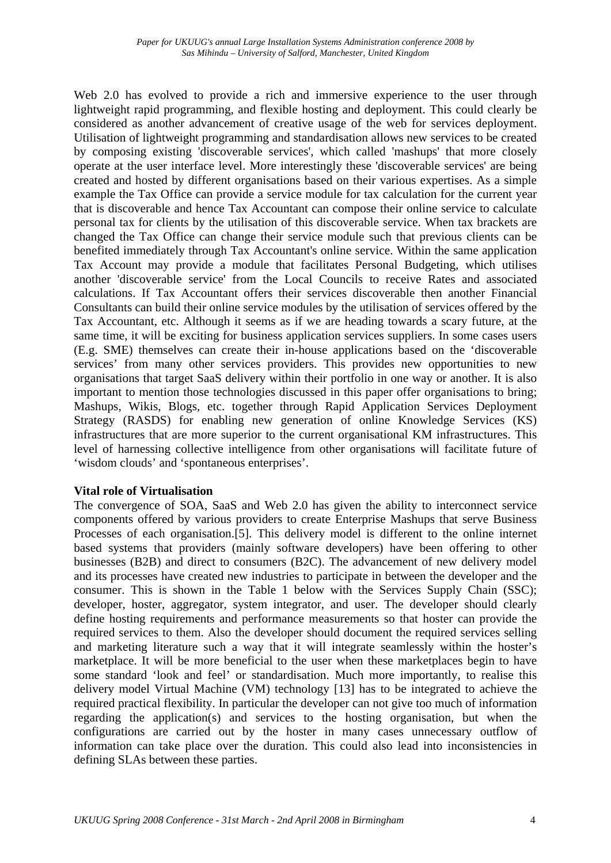Web 2.0 has evolved to provide a rich and immersive experience to the user through lightweight rapid programming, and flexible hosting and deployment. This could clearly be considered as another advancement of creative usage of the web for services deployment. Utilisation of lightweight programming and standardisation allows new services to be created by composing existing 'discoverable services', which called 'mashups' that more closely operate at the user interface level. More interestingly these 'discoverable services' are being created and hosted by different organisations based on their various expertises. As a simple example the Tax Office can provide a service module for tax calculation for the current year that is discoverable and hence Tax Accountant can compose their online service to calculate personal tax for clients by the utilisation of this discoverable service. When tax brackets are changed the Tax Office can change their service module such that previous clients can be benefited immediately through Tax Accountant's online service. Within the same application Tax Account may provide a module that facilitates Personal Budgeting, which utilises another 'discoverable service' from the Local Councils to receive Rates and associated calculations. If Tax Accountant offers their services discoverable then another Financial Consultants can build their online service modules by the utilisation of services offered by the Tax Accountant, etc. Although it seems as if we are heading towards a scary future, at the same time, it will be exciting for business application services suppliers. In some cases users (E.g. SME) themselves can create their in-house applications based on the 'discoverable services' from many other services providers. This provides new opportunities to new organisations that target SaaS delivery within their portfolio in one way or another. It is also important to mention those technologies discussed in this paper offer organisations to bring; Mashups, Wikis, Blogs, etc. together through Rapid Application Services Deployment Strategy (RASDS) for enabling new generation of online Knowledge Services (KS) infrastructures that are more superior to the current organisational KM infrastructures. This level of harnessing collective intelligence from other organisations will facilitate future of 'wisdom clouds' and 'spontaneous enterprises'.

#### **Vital role of Virtualisation**

The convergence of SOA, SaaS and Web 2.0 has given the ability to interconnect service components offered by various providers to create Enterprise Mashups that serve Business Processes of each organisation.[5]. This delivery model is different to the online internet based systems that providers (mainly software developers) have been offering to other businesses (B2B) and direct to consumers (B2C). The advancement of new delivery model and its processes have created new industries to participate in between the developer and the consumer. This is shown in the Table 1 below with the Services Supply Chain (SSC); developer, hoster, aggregator, system integrator, and user. The developer should clearly define hosting requirements and performance measurements so that hoster can provide the required services to them. Also the developer should document the required services selling and marketing literature such a way that it will integrate seamlessly within the hoster's marketplace. It will be more beneficial to the user when these marketplaces begin to have some standard 'look and feel' or standardisation. Much more importantly, to realise this delivery model Virtual Machine (VM) technology [13] has to be integrated to achieve the required practical flexibility. In particular the developer can not give too much of information regarding the application(s) and services to the hosting organisation, but when the configurations are carried out by the hoster in many cases unnecessary outflow of information can take place over the duration. This could also lead into inconsistencies in defining SLAs between these parties.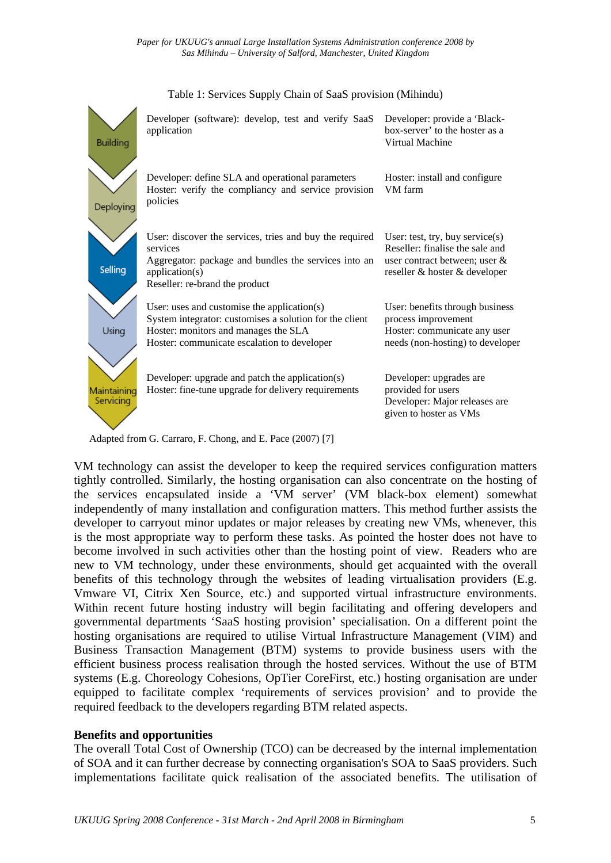

#### Table 1: Services Supply Chain of SaaS provision (Mihindu)

Adapted from G. Carraro, F. Chong, and E. Pace (2007) [7]

VM technology can assist the developer to keep the required services configuration matters tightly controlled. Similarly, the hosting organisation can also concentrate on the hosting of the services encapsulated inside a 'VM server' (VM black-box element) somewhat independently of many installation and configuration matters. This method further assists the developer to carryout minor updates or major releases by creating new VMs, whenever, this is the most appropriate way to perform these tasks. As pointed the hoster does not have to become involved in such activities other than the hosting point of view. Readers who are new to VM technology, under these environments, should get acquainted with the overall benefits of this technology through the websites of leading virtualisation providers (E.g. Vmware VI, Citrix Xen Source, etc.) and supported virtual infrastructure environments. Within recent future hosting industry will begin facilitating and offering developers and governmental departments 'SaaS hosting provision' specialisation. On a different point the hosting organisations are required to utilise Virtual Infrastructure Management (VIM) and Business Transaction Management (BTM) systems to provide business users with the efficient business process realisation through the hosted services. Without the use of BTM systems (E.g. Choreology Cohesions, OpTier CoreFirst, etc.) hosting organisation are under equipped to facilitate complex 'requirements of services provision' and to provide the required feedback to the developers regarding BTM related aspects.

#### **Benefits and opportunities**

The overall Total Cost of Ownership (TCO) can be decreased by the internal implementation of SOA and it can further decrease by connecting organisation's SOA to SaaS providers. Such implementations facilitate quick realisation of the associated benefits. The utilisation of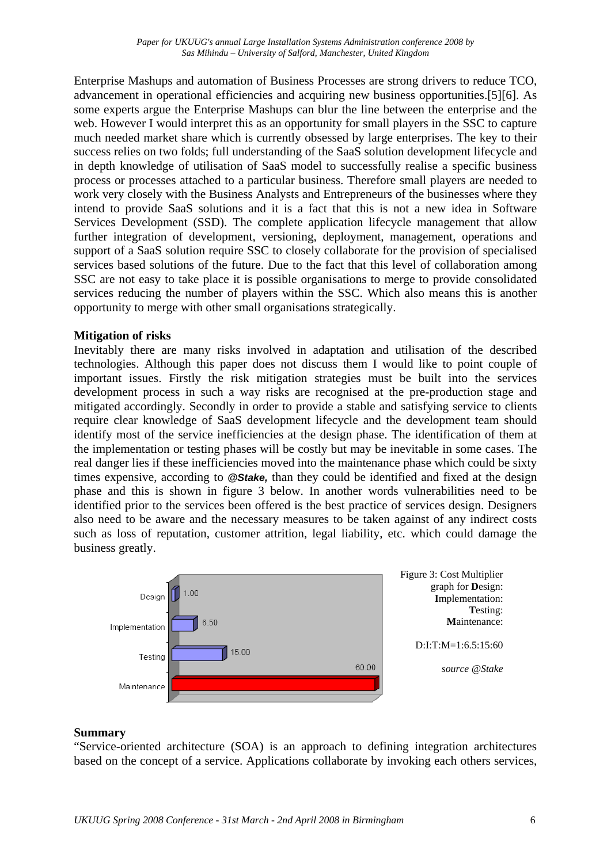Enterprise Mashups and automation of Business Processes are strong drivers to reduce TCO, advancement in operational efficiencies and acquiring new business opportunities.[5][6]. As some experts argue the Enterprise Mashups can blur the line between the enterprise and the web. However I would interpret this as an opportunity for small players in the SSC to capture much needed market share which is currently obsessed by large enterprises. The key to their success relies on two folds; full understanding of the SaaS solution development lifecycle and in depth knowledge of utilisation of SaaS model to successfully realise a specific business process or processes attached to a particular business. Therefore small players are needed to work very closely with the Business Analysts and Entrepreneurs of the businesses where they intend to provide SaaS solutions and it is a fact that this is not a new idea in Software Services Development (SSD). The complete application lifecycle management that allow further integration of development, versioning, deployment, management, operations and support of a SaaS solution require SSC to closely collaborate for the provision of specialised services based solutions of the future. Due to the fact that this level of collaboration among SSC are not easy to take place it is possible organisations to merge to provide consolidated services reducing the number of players within the SSC. Which also means this is another opportunity to merge with other small organisations strategically.

#### **Mitigation of risks**

Inevitably there are many risks involved in adaptation and utilisation of the described technologies. Although this paper does not discuss them I would like to point couple of important issues. Firstly the risk mitigation strategies must be built into the services development process in such a way risks are recognised at the pre-production stage and mitigated accordingly. Secondly in order to provide a stable and satisfying service to clients require clear knowledge of SaaS development lifecycle and the development team should identify most of the service inefficiencies at the design phase. The identification of them at the implementation or testing phases will be costly but may be inevitable in some cases. The real danger lies if these inefficiencies moved into the maintenance phase which could be sixty times expensive, according to *@Stake,* than they could be identified and fixed at the design phase and this is shown in figure 3 below. In another words vulnerabilities need to be identified prior to the services been offered is the best practice of services design. Designers also need to be aware and the necessary measures to be taken against of any indirect costs such as loss of reputation, customer attrition, legal liability, etc. which could damage the business greatly.



#### **Summary**

"Service-oriented architecture (SOA) is an approach to defining integration architectures based on the concept of a service. Applications collaborate by invoking each others services,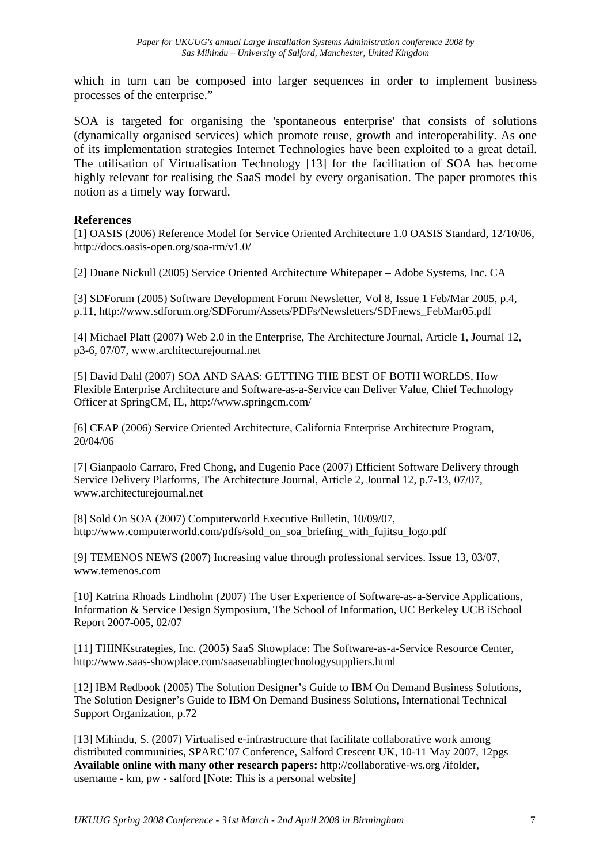which in turn can be composed into larger sequences in order to implement business processes of the enterprise."

SOA is targeted for organising the 'spontaneous enterprise' that consists of solutions (dynamically organised services) which promote reuse, growth and interoperability. As one of its implementation strategies Internet Technologies have been exploited to a great detail. The utilisation of Virtualisation Technology [13] for the facilitation of SOA has become highly relevant for realising the SaaS model by every organisation. The paper promotes this notion as a timely way forward.

#### **References**

[1] OASIS (2006) Reference Model for Service Oriented Architecture 1.0 OASIS Standard, 12/10/06, http://docs.oasis-open.org/soa-rm/v1.0/

[2] Duane Nickull (2005) Service Oriented Architecture Whitepaper – Adobe Systems, Inc. CA

[3] SDForum (2005) Software Development Forum Newsletter, Vol 8, Issue 1 Feb/Mar 2005, p.4, p.11, http://www.sdforum.org/SDForum/Assets/PDFs/Newsletters/SDFnews\_FebMar05.pdf

[4] Michael Platt (2007) Web 2.0 in the Enterprise, The Architecture Journal, Article 1, Journal 12, p3-6, 07/07, www.architecturejournal.net

[5] David Dahl (2007) SOA AND SAAS: GETTING THE BEST OF BOTH WORLDS, How Flexible Enterprise Architecture and Software-as-a-Service can Deliver Value, Chief Technology Officer at SpringCM, IL, http://www.springcm.com/

[6] CEAP (2006) Service Oriented Architecture, California Enterprise Architecture Program, 20/04/06

[7] Gianpaolo Carraro, Fred Chong, and Eugenio Pace (2007) Efficient Software Delivery through Service Delivery Platforms, The Architecture Journal, Article 2, Journal 12, p.7-13, 07/07, www.architecturejournal.net

[8] Sold On SOA (2007) Computerworld Executive Bulletin, 10/09/07, http://www.computerworld.com/pdfs/sold\_on\_soa\_briefing\_with\_fujitsu\_logo.pdf

[9] TEMENOS NEWS (2007) Increasing value through professional services. Issue 13, 03/07, www.temenos.com

[10] Katrina Rhoads Lindholm (2007) The User Experience of Software-as-a-Service Applications, Information & Service Design Symposium, The School of Information, UC Berkeley UCB iSchool Report 2007-005, 02/07

[11] THINKstrategies, Inc. (2005) SaaS Showplace: The Software-as-a-Service Resource Center, http://www.saas-showplace.com/saasenablingtechnologysuppliers.html

[12] IBM Redbook (2005) The Solution Designer's Guide to IBM On Demand Business Solutions, The Solution Designer's Guide to IBM On Demand Business Solutions, International Technical Support Organization, p.72

[13] Mihindu, S. (2007) Virtualised e-infrastructure that facilitate collaborative work among distributed communities, SPARC'07 Conference, Salford Crescent UK, 10-11 May 2007, 12pgs **Available online with many other research papers:** http://collaborative-ws.org /ifolder, username - km, pw - salford [Note: This is a personal website]